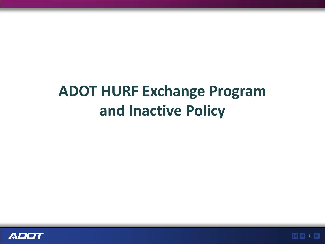## **ADOT HURF Exchange Program and Inactive Policy**

**KK**1 P

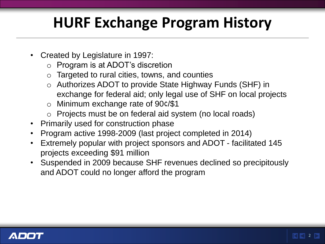# **HURF Exchange Program History**

- Created by Legislature in 1997:
	- o Program is at ADOT's discretion
	- o Targeted to rural cities, towns, and counties
	- o Authorizes ADOT to provide State Highway Funds (SHF) in exchange for federal aid; only legal use of SHF on local projects
	- o Minimum exchange rate of 90¢/\$1
	- o Projects must be on federal aid system (no local roads)
- Primarily used for construction phase
- Program active 1998-2009 (last project completed in 2014)
- Extremely popular with project sponsors and ADOT facilitated 145 projects exceeding \$91 million
- Suspended in 2009 because SHF revenues declined so precipitously and ADOT could no longer afford the program

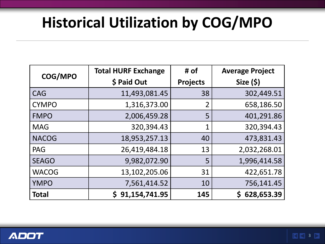# **Historical Utilization by COG/MPO**

| COG/MPO      | <b>Total HURF Exchange</b> | # of            | <b>Average Project</b> |  |  |
|--------------|----------------------------|-----------------|------------------------|--|--|
|              | \$ Paid Out                | <b>Projects</b> | Size $(5)$             |  |  |
| CAG          | 11,493,081.45              | 38              | 302,449.51             |  |  |
| <b>CYMPO</b> | 1,316,373.00               | 2               | 658,186.50             |  |  |
| <b>FMPO</b>  | 2,006,459.28               | 5               | 401,291.86             |  |  |
| <b>MAG</b>   | 320,394.43                 | 1               | 320,394.43             |  |  |
| <b>NACOG</b> | 18,953,257.13              | 40              | 473,831.43             |  |  |
| <b>PAG</b>   | 26,419,484.18              | 13              | 2,032,268.01           |  |  |
| <b>SEAGO</b> | 9,982,072.90               | 5               | 1,996,414.58           |  |  |
| <b>WACOG</b> | 13,102,205.06              | 31              | 422,651.78             |  |  |
| <b>YMPO</b>  | 7,561,414.52               | 10              | 756,141.45             |  |  |
| <b>Total</b> | \$91,154,741.95            | 145             | 628,653.39             |  |  |

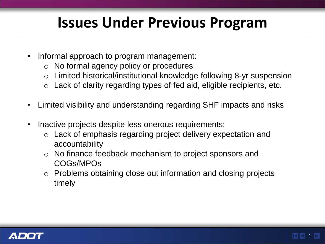## **Issues Under Previous Program**

- Informal approach to program management:
	- o No formal agency policy or procedures
	- o Limited historical/institutional knowledge following 8-yr suspension
	- $\circ$  Lack of clarity regarding types of fed aid, eligible recipients, etc.
- Limited visibility and understanding regarding SHF impacts and risks
- Inactive projects despite less onerous requirements:
	- o Lack of emphasis regarding project delivery expectation and accountability
	- o No finance feedback mechanism to project sponsors and COGs/MPOs
	- o Problems obtaining close out information and closing projects timely

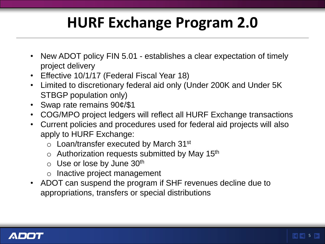# **HURF Exchange Program 2.0**

- New ADOT policy FIN 5.01 establishes a clear expectation of timely project delivery
- Effective 10/1/17 (Federal Fiscal Year 18)
- Limited to discretionary federal aid only (Under 200K and Under 5K STBGP population only)
- Swap rate remains 90¢/\$1
- COG/MPO project ledgers will reflect all HURF Exchange transactions
- Current policies and procedures used for federal aid projects will also apply to HURF Exchange:
	- $\circ$  Loan/transfer executed by March 31<sup>st</sup>
	- $\circ$  Authorization requests submitted by May 15<sup>th</sup>
	- $\circ$  Use or lose by June 30<sup>th</sup>
	- o Inactive project management
- ADOT can suspend the program if SHF revenues decline due to appropriations, transfers or special distributions

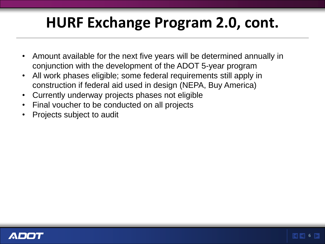# **HURF Exchange Program 2.0, cont.**

- Amount available for the next five years will be determined annually in conjunction with the development of the ADOT 5-year program
- All work phases eligible; some federal requirements still apply in construction if federal aid used in design (NEPA, Buy America)
- Currently underway projects phases not eligible
- Final voucher to be conducted on all projects
- Projects subject to audit

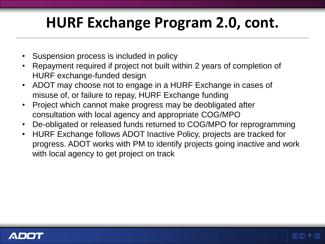# **HURF Exchange Program 2.0, cont.**

- Suspension process is included in policy
- Repayment required if project not built within 2 years of completion of HURF exchange-funded design
- ADOT may choose not to engage in a HURF Exchange in cases of misuse of, or failure to repay, HURF Exchange funding
- Project which cannot make progress may be deobligated after consultation with local agency and appropriate COG/MPO
- De-obligated or released funds returned to COG/MPO for reprogramming
- HURF Exchange follows ADOT Inactive Policy, projects are tracked for progress. ADOT works with PM to identify projects going inactive and work with local agency to get project on track

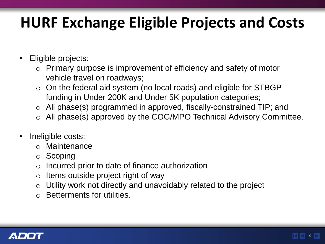# **HURF Exchange Eligible Projects and Costs**

- Eligible projects:
	- o Primary purpose is improvement of efficiency and safety of motor vehicle travel on roadways;
	- o On the federal aid system (no local roads) and eligible for STBGP funding in Under 200K and Under 5K population categories;
	- o All phase(s) programmed in approved, fiscally-constrained TIP; and
	- All phase(s) approved by the COG/MPO Technical Advisory Committee.
- Ineligible costs:
	- o Maintenance
	- o Scoping
	- o Incurred prior to date of finance authorization
	- $\circ$  Items outside project right of way
	- $\circ$  Utility work not directly and unavoidably related to the project
	- **Betterments for utilities.**

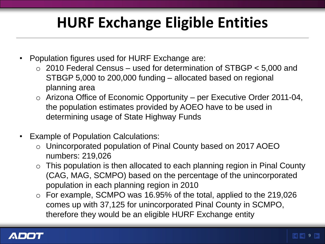# **HURF Exchange Eligible Entities**

- Population figures used for HURF Exchange are:
	- $\circ$  2010 Federal Census used for determination of STBGP  $<$  5,000 and STBGP 5,000 to 200,000 funding – allocated based on regional planning area
	- $\circ$  Arizona Office of Economic Opportunity per Executive Order 2011-04, the population estimates provided by AOEO have to be used in determining usage of State Highway Funds
- Example of Population Calculations:
	- o Unincorporated population of Pinal County based on 2017 AOEO numbers: 219,026
	- $\circ$  This population is then allocated to each planning region in Pinal County (CAG, MAG, SCMPO) based on the percentage of the unincorporated population in each planning region in 2010
	- $\circ$  For example, SCMPO was 16.95% of the total, applied to the 219,026 comes up with 37,125 for unincorporated Pinal County in SCMPO, therefore they would be an eligible HURF Exchange entity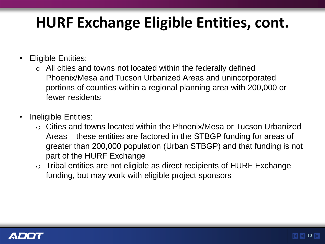# **HURF Exchange Eligible Entities, cont.**

- Eligible Entities:
	- o All cities and towns not located within the federally defined Phoenix/Mesa and Tucson Urbanized Areas and unincorporated portions of counties within a regional planning area with 200,000 or fewer residents
- Ineligible Entities:
	- o Cities and towns located within the Phoenix/Mesa or Tucson Urbanized Areas – these entities are factored in the STBGP funding for areas of greater than 200,000 population (Urban STBGP) and that funding is not part of the HURF Exchange
	- o Tribal entities are not eligible as direct recipients of HURF Exchange funding, but may work with eligible project sponsors

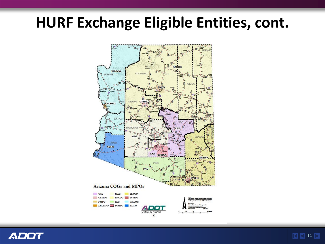#### **HURF Exchange Eligible Entities, cont.**



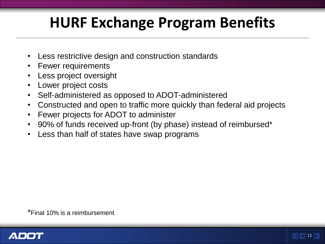# **HURF Exchange Program Benefits**

- Less restrictive design and construction standards
- Fewer requirements
- Less project oversight
- Lower project costs
- Self-administered as opposed to ADOT-administered
- Constructed and open to traffic more quickly than federal aid projects
- Fewer projects for ADOT to administer
- 90% of funds received up-front (by phase) instead of reimbursed\*
- Less than half of states have swap programs

\*Final 10% is a reimbursement

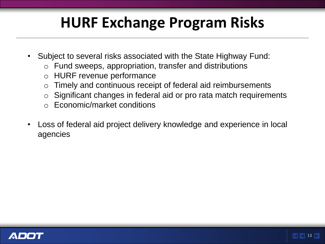# **HURF Exchange Program Risks**

- Subject to several risks associated with the State Highway Fund:
	- o Fund sweeps, appropriation, transfer and distributions
	- o HURF revenue performance
	- o Timely and continuous receipt of federal aid reimbursements
	- $\circ$  Significant changes in federal aid or pro rata match requirements
	- o Economic/market conditions
- Loss of federal aid project delivery knowledge and experience in local agencies

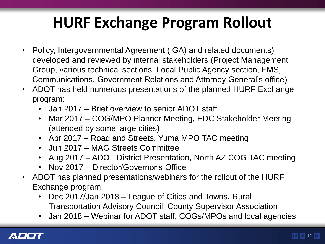# **HURF Exchange Program Rollout**

- Policy, Intergovernmental Agreement (IGA) and related documents) developed and reviewed by internal stakeholders (Project Management Group, various technical sections, Local Public Agency section, FMS, Communications, Government Relations and Attorney General's office)
- ADOT has held numerous presentations of the planned HURF Exchange program:
	- Jan 2017 Brief overview to senior ADOT staff
	- Mar 2017 COG/MPO Planner Meeting, EDC Stakeholder Meeting (attended by some large cities)
	- Apr 2017 Road and Streets, Yuma MPO TAC meeting
	- Jun 2017 MAG Streets Committee
	- Aug 2017 ADOT District Presentation, North AZ COG TAC meeting
	- Nov 2017 Director/Governor's Office
- ADOT has planned presentations/webinars for the rollout of the HURF Exchange program:
	- Dec 2017/Jan 2018 League of Cities and Towns, Rural Transportation Advisory Council, County Supervisor Association
	- Jan 2018 Webinar for ADOT staff, COGs/MPOs and local agencies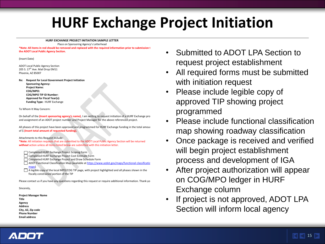#### **HURF Exchange Project Initiation**

#### **HURF EXCHANGE PROJECT INITIATION SAMPLE LETTER**

Place on Sponsoring Agency's Letterhead

**\*Note: All items in red should be removed and replaced with the required information prior to submission to the ADOT Local Public Agency Section.** 

(Insert Date)

ADOT Local Public Agency Section 205 S. 17<sup>th</sup> Ave. Mail Drop EM11 Phoenix, AZ 85007

**Re: Request for Local Government Project Initiation**

**Sponsoring Agency: Project Name: COG/MPO: COG/MPO TIP ID Number: Approved for Fiscal Year(s): Funding Type:** HURF Exchange

To Whom It May Concern:

On behalf of the **(Insert sponsoring agency's name)**, I am writing to request initiation of a HURF Exchange project and assignment of an ADOT project number and Project Manager for the above referenced project.

All phases of this project have been approved and programmed for HURF Exchange funding in the total amount of \$ **(Insert total amount of requested funding).**

Attachments to this Request include:

**\*Note:** All initiation requests that are submitted to the ADOT Local Public Agency Section will be returned without action unless all items listed below are submitted with this initiation letter

Completed HURF Exchange Project Scoping Form

- Completed HURF Exchange Project Cost Estimate Form
- Completed HURF Exchange Project and Draw Schedule Form

ADOT Functional Classification Map (available at https://www.azdot.gov/maps/functional-classificationmaps)

 $\Box$  A legible copy of the local MPO/COG TIP page, with project highlighted and all phases shown in the fiscally constrained portion of the TIP

Please contact us if you have any questions regarding this request or require additional information. Thank yo

Sincerely,

**Project Manager Name Title Agency Address City, AZ, Zip code Phone Number Email address**

- Submitted to ADOT LPA Section to request project establishment
- All required forms must be submitted with initiation request
- Please include legible copy of approved TIP showing project programmed
- Please include functional classification map showing roadway classification
- Once package is received and verified will begin project establishment process and development of IGA
- After project authorization will appear on COG/MPO ledger in HURF Exchange column
- If project is not approved, ADOT LPA Section will inform local agency

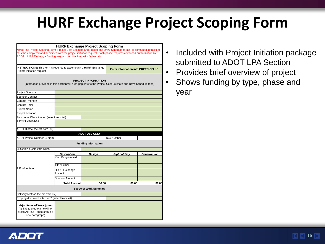### **HURF Exchange Project Scoping Form**

|                                                                                                                                                                                                                                                                                                                   |                                | <b>HURF Exchange Project Scoping Form</b> |                                                                                                               |                     |
|-------------------------------------------------------------------------------------------------------------------------------------------------------------------------------------------------------------------------------------------------------------------------------------------------------------------|--------------------------------|-------------------------------------------|---------------------------------------------------------------------------------------------------------------|---------------------|
| Note: The Project Scoping Form, Project Cost Estimate and Project and Draw Schedule forms (all contained in this file)<br>must be completed and submitted with the project initiation request. Eash phase requires advanced authorization by<br>ADOT. HURF Exchange funding may not be combined with federal aid. |                                |                                           |                                                                                                               |                     |
| <b>INSTRUCTIONS:</b> This form is required to accompany a HURF Exchange<br>Project Initiation request.                                                                                                                                                                                                            |                                |                                           | <b>Enter information into GREEN CELLS</b>                                                                     |                     |
|                                                                                                                                                                                                                                                                                                                   |                                | <b>PROJECT INFORMATION</b>                | (infornation provided in this section will auto-populate to the Project Cost Estimate and Draw Schedule tabs) |                     |
| Project Sponsor                                                                                                                                                                                                                                                                                                   |                                |                                           |                                                                                                               |                     |
| <b>Sponsor Contact</b>                                                                                                                                                                                                                                                                                            |                                |                                           |                                                                                                               |                     |
| Contact Phone #                                                                                                                                                                                                                                                                                                   |                                |                                           |                                                                                                               |                     |
| <b>Contact Email</b>                                                                                                                                                                                                                                                                                              |                                |                                           |                                                                                                               |                     |
| Project Name                                                                                                                                                                                                                                                                                                      |                                |                                           |                                                                                                               |                     |
| Project Location                                                                                                                                                                                                                                                                                                  |                                |                                           |                                                                                                               |                     |
| Functional Classification (select from list)                                                                                                                                                                                                                                                                      |                                |                                           |                                                                                                               |                     |
| Termini Begin/End                                                                                                                                                                                                                                                                                                 |                                |                                           |                                                                                                               |                     |
| <b>ADOT District (select from list)</b>                                                                                                                                                                                                                                                                           |                                |                                           |                                                                                                               |                     |
|                                                                                                                                                                                                                                                                                                                   |                                | <b>ADOT USE ONLY</b>                      |                                                                                                               |                     |
| ADOT Project Number (5 digit)                                                                                                                                                                                                                                                                                     |                                |                                           | <b>IGA Number</b>                                                                                             |                     |
|                                                                                                                                                                                                                                                                                                                   |                                | <b>Funding Information</b>                |                                                                                                               |                     |
| COG/MPO (select from list)                                                                                                                                                                                                                                                                                        |                                |                                           |                                                                                                               |                     |
|                                                                                                                                                                                                                                                                                                                   | <b>Description</b>             | Design                                    | <b>Right of Way</b>                                                                                           | <b>Construction</b> |
|                                                                                                                                                                                                                                                                                                                   | Year Programmed                |                                           |                                                                                                               |                     |
|                                                                                                                                                                                                                                                                                                                   | <b>TIP Number</b>              |                                           |                                                                                                               |                     |
| TIP Informtaion                                                                                                                                                                                                                                                                                                   | <b>HURF Exchange</b><br>Amount |                                           |                                                                                                               |                     |
|                                                                                                                                                                                                                                                                                                                   | Sponsor Amount                 |                                           |                                                                                                               |                     |
|                                                                                                                                                                                                                                                                                                                   | <b>Total Amount</b>            | \$0.00                                    | \$0.00                                                                                                        | \$0.00              |
|                                                                                                                                                                                                                                                                                                                   |                                | <b>Scope of Work Summary</b>              |                                                                                                               |                     |
| Delivery Method (select from list)                                                                                                                                                                                                                                                                                |                                |                                           |                                                                                                               |                     |
| Scoping document attached? (select from list)                                                                                                                                                                                                                                                                     |                                |                                           |                                                                                                               |                     |
| Major Items of Work (press<br>Alt-Tab to create a new line:<br>press Alt-Tab-Tab to create a<br>new paragraph)                                                                                                                                                                                                    |                                |                                           |                                                                                                               |                     |

- Included with Project Initiation package submitted to ADOT LPA Section
- Provides brief overview of project
- Shows funding by type, phase and year

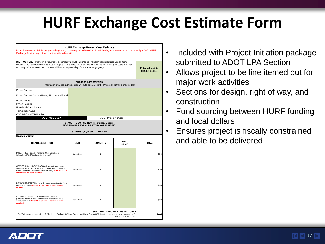#### **HURF Exchange Cost Estimate Form**

|                                                                                                                                                                                                                                                                                                                                    |             | <b>HURF Exchange Project Cost Estimate</b>                                                                                   |                                                                         |                                                |
|------------------------------------------------------------------------------------------------------------------------------------------------------------------------------------------------------------------------------------------------------------------------------------------------------------------------------------|-------------|------------------------------------------------------------------------------------------------------------------------------|-------------------------------------------------------------------------|------------------------------------------------|
| Note: The use of HURF Exchange funding for any phase requires submission of the following information and authorization by ADOT. HURF<br>Exchange funding may not be combined with federal aid.                                                                                                                                    |             |                                                                                                                              |                                                                         |                                                |
| INSTRUCTIONS: This form is required to accompany a HURF Exchange Project Initiation request. List all items<br>necessary to develop and construct the project. The sponsoring agency is responsible for verifying all costs and their<br>accuracy. Construction cost overruns will be the responsibility of the sponsoring agency. |             |                                                                                                                              |                                                                         | <b>Enter values into</b><br><b>GREEN CELLS</b> |
|                                                                                                                                                                                                                                                                                                                                    |             | <b>PROJECT INFORMATION</b><br>(infornation provided in this section will auto-populate to the Project and Draw Schedule tab) |                                                                         |                                                |
| Project Sponsor                                                                                                                                                                                                                                                                                                                    |             |                                                                                                                              |                                                                         |                                                |
| Project Sponsor Contact Name, Number and Email                                                                                                                                                                                                                                                                                     |             |                                                                                                                              |                                                                         |                                                |
| Project Name                                                                                                                                                                                                                                                                                                                       |             |                                                                                                                              |                                                                         |                                                |
| Project Location                                                                                                                                                                                                                                                                                                                   |             |                                                                                                                              |                                                                         |                                                |
| <b>Functional Classification</b>                                                                                                                                                                                                                                                                                                   |             |                                                                                                                              |                                                                         |                                                |
| Termini Begin/End                                                                                                                                                                                                                                                                                                                  |             |                                                                                                                              |                                                                         |                                                |
| COG/MPO and TIP Number                                                                                                                                                                                                                                                                                                             |             |                                                                                                                              |                                                                         |                                                |
| <b>ADOT USE ONLY</b>                                                                                                                                                                                                                                                                                                               |             | <b>ADOT Project Number</b>                                                                                                   |                                                                         |                                                |
|                                                                                                                                                                                                                                                                                                                                    |             | STAGE I - SCOPING (15% Preliminary Design)<br>NOT ELIGIBLE FOR HURF EXCHANGE FUNDING                                         |                                                                         |                                                |
|                                                                                                                                                                                                                                                                                                                                    |             | STAGES II, III, IV and V - DESIGN                                                                                            |                                                                         |                                                |
| <b>DESIGN COSTS</b>                                                                                                                                                                                                                                                                                                                |             |                                                                                                                              |                                                                         |                                                |
| <b>ITEM DESCRIPTION</b>                                                                                                                                                                                                                                                                                                            | <b>UNIT</b> | QUANTITY                                                                                                                     | <b>UNIT</b><br>PRICE                                                    | <b>TOTAL</b>                                   |
| PS&E's - Plans, Special Provisions, Cost Estimates &<br>Schedules (10%-20% of construction cost.)                                                                                                                                                                                                                                  | Lump Sum    | $\overline{1}$                                                                                                               |                                                                         | \$0.00                                         |
| GEOTECHNICAL INVESTIGATION (If a report is necessary,<br>anticipate 5% of construction cost) Includes testing, Geotech<br>Report, Materials & Pavement Design Report) Enter \$0 in Unit<br>Price column if none required.                                                                                                          | Lump Sum    | $\mathbf{1}$                                                                                                                 |                                                                         | \$0.00                                         |
| DRAINAGE REPORT (If a report is necessary, anticipate 5% of<br>construction cost) Enter \$0 in Unit Price column if none<br>required)                                                                                                                                                                                              | Lump Sum    | $\mathbf{1}$                                                                                                                 |                                                                         | \$0.00                                         |
| STORM WATER POLLUTION PREVENTION PLAN<br>(Required if there is over 1 acre of total disturbance, 1% of<br>construction cost) Enter \$0 in Unit Price column if none<br>required.                                                                                                                                                   | Lump Sum    | $\mathbf{1}$                                                                                                                 |                                                                         | \$0.00                                         |
| This Tool calculates costs with HURF Exchange Funds at 100% and Sponsor Additional Funds at 0%. Adjust the amounts in these two columns if a                                                                                                                                                                                       |             |                                                                                                                              | <b>SUBTOTAL - PROJECT DESIGN COSTS</b><br>different cost share applies. | \$0.00                                         |

- Included with Project Initiation package submitted to ADOT LPA Section
- Allows project to be line itemed out for major work activities
- Sections for design, right of way, and construction
- Fund sourcing between HURF funding and local dollars
- Ensures project is fiscally constrained and able to be delivered

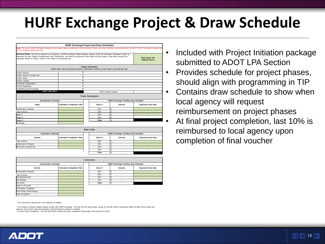### **HURF Exchange Project & Draw Schedule**

|                                                                                                                                                                                                                                                                                                                                                     | <b>HURF Exchange Project and Draw Schedules</b>                                                 |                                     |                            |                           |  |  |  |  |  |
|-----------------------------------------------------------------------------------------------------------------------------------------------------------------------------------------------------------------------------------------------------------------------------------------------------------------------------------------------------|-------------------------------------------------------------------------------------------------|-------------------------------------|----------------------------|---------------------------|--|--|--|--|--|
| Note: The use of HURF Exchange funding for any phase requires submission of the following Project and Draw Schedule, and authorization by ADOT. HURF Exchange funding may<br>not be combined with federal aid.                                                                                                                                      |                                                                                                 |                                     |                            |                           |  |  |  |  |  |
| INSTRUCTIONS: This form is required to accompany a HURF Exchange Project Initiation request. Enter the Estimated Completion Dates as<br>requested for each Stage of Development and Construction. Also enter the Expected Draw Dates for both phases. Draw date amounts are<br>calculated based on Project Totals on the Project Cost Estimate tab. | Enter dates into<br><b>GREEN CELLS</b>                                                          |                                     |                            |                           |  |  |  |  |  |
|                                                                                                                                                                                                                                                                                                                                                     | (fields below will auto-populate based on information entered on the Project Cost Estimate tab) | <b>Project Information</b>          |                            |                           |  |  |  |  |  |
| Project Sponsor                                                                                                                                                                                                                                                                                                                                     | $\Omega$                                                                                        |                                     |                            |                           |  |  |  |  |  |
| Project Sponsor Contact Info                                                                                                                                                                                                                                                                                                                        | $\Omega$                                                                                        |                                     |                            |                           |  |  |  |  |  |
| Project Name                                                                                                                                                                                                                                                                                                                                        | $\Omega$                                                                                        |                                     |                            |                           |  |  |  |  |  |
| Project Location                                                                                                                                                                                                                                                                                                                                    | $\Omega$                                                                                        |                                     |                            |                           |  |  |  |  |  |
| Functional Classification                                                                                                                                                                                                                                                                                                                           | $\Omega$                                                                                        |                                     |                            |                           |  |  |  |  |  |
| Fermini Begin/End                                                                                                                                                                                                                                                                                                                                   | $\Omega$                                                                                        |                                     |                            |                           |  |  |  |  |  |
| COG/MPO and TIP Number                                                                                                                                                                                                                                                                                                                              | $\Omega$                                                                                        |                                     |                            |                           |  |  |  |  |  |
| <b>ADOT USE ONLY</b>                                                                                                                                                                                                                                                                                                                                |                                                                                                 |                                     | <b>ADOT Project Number</b> |                           |  |  |  |  |  |
|                                                                                                                                                                                                                                                                                                                                                     |                                                                                                 | <b>Project Development</b>          |                            |                           |  |  |  |  |  |
| <b>Development Schedule</b>                                                                                                                                                                                                                                                                                                                         |                                                                                                 | HURF Exchange Funding Draw Schedule |                            |                           |  |  |  |  |  |
| Stage                                                                                                                                                                                                                                                                                                                                               | <b>Estimated Completion Date</b>                                                                | Draw %                              | Amount                     | <b>Expected Draw Date</b> |  |  |  |  |  |
| Authorization Request                                                                                                                                                                                                                                                                                                                               |                                                                                                 | 30%                                 | s                          |                           |  |  |  |  |  |
| Start of Work                                                                                                                                                                                                                                                                                                                                       |                                                                                                 | 30%                                 | s                          |                           |  |  |  |  |  |
| Stage II                                                                                                                                                                                                                                                                                                                                            |                                                                                                 | 30%                                 | s<br>٠                     |                           |  |  |  |  |  |
| Stage III                                                                                                                                                                                                                                                                                                                                           |                                                                                                 | 10%                                 | Ś<br>٠                     | $\star$                   |  |  |  |  |  |
| Stage IV                                                                                                                                                                                                                                                                                                                                            |                                                                                                 | Total                               | s<br>٠                     |                           |  |  |  |  |  |
| <b>Bid Ready</b>                                                                                                                                                                                                                                                                                                                                    |                                                                                                 |                                     |                            |                           |  |  |  |  |  |

| <b>Right of Way</b>         |                                  |  |              |                                     |        |                           |  |
|-----------------------------|----------------------------------|--|--------------|-------------------------------------|--------|---------------------------|--|
| <b>Acquisition Schedule</b> |                                  |  |              | HURF Exchange Funding Draw Schedule |        |                           |  |
| Activity                    | <b>Estimated Completion Date</b> |  | Draw %       |                                     | Amount | <b>Expected Draw Date</b> |  |
| Start of Work               |                                  |  | 30%          |                                     |        |                           |  |
| Authorization Request       |                                  |  | 30%          |                                     |        |                           |  |
| All Parcels Acquired By     |                                  |  | 30%          |                                     |        |                           |  |
|                             |                                  |  | 10%          |                                     |        |                           |  |
|                             |                                  |  | <b>Total</b> |                                     |        |                           |  |

| Construction                 |                                  |  |                                            |   |        |                           |  |
|------------------------------|----------------------------------|--|--------------------------------------------|---|--------|---------------------------|--|
| <b>Construction Schedule</b> |                                  |  | <b>HURF Exchange Funding Draw Schedule</b> |   |        |                           |  |
| Activity                     | <b>Estimated Completion Date</b> |  | Draw %                                     |   | Amount | <b>Expected Draw Date</b> |  |
| Authorization Request        |                                  |  | 30%                                        | s |        |                           |  |
| Start of Work                |                                  |  | 30%                                        |   |        |                           |  |
| <b>Bid Advertisement</b>     |                                  |  | 30%                                        | s | -      |                           |  |
| <b>Bid Opening</b>           |                                  |  | 10%                                        | s | -      | ۰                         |  |
| <b>Bid Award</b>             |                                  |  | Total                                      | s | -      |                           |  |
| Notice to Proceed            |                                  |  |                                            |   |        |                           |  |
| Substantial Completion       |                                  |  |                                            |   |        |                           |  |
| Final Project Walk-through   |                                  |  |                                            |   |        |                           |  |
| Final Acceptance             |                                  |  |                                            |   |        |                           |  |

\* The Final 10% is reimbursed to the Sponsor as follows:

For projects involving multiple phases funded with HURF Exchange - the final 10% for each phase, except for the last, will be reimbursed within 30 days of the receipt and approval of an invoice and documentation demonstrating the phase is complete.

4At final Project completion - the final 10% will be reimbursed upon completion of the project final voucher by ADOT.

- Included with Project Initiation package submitted to ADOT LPA Section
- Provides schedule for project phases, should align with programming in TIP
- Contains draw schedule to show when local agency will request reimbursement on project phases
- At final project completion, last 10% is reimbursed to local agency upon completion of final voucher

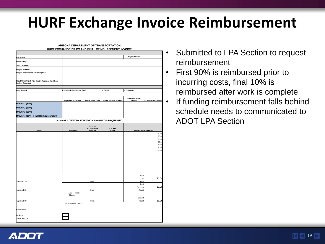## **HURF Exchange Invoice Reimbursement**

|                                                                  |                                                |                                           | HURF EXCHANGE DRAW AND FINAL REIMBURSEMENT INVOICE |                            |                           |  |
|------------------------------------------------------------------|------------------------------------------------|-------------------------------------------|----------------------------------------------------|----------------------------|---------------------------|--|
| COG/MPO:                                                         |                                                |                                           |                                                    | Project Phase:             |                           |  |
| <b>Local Entity:</b>                                             |                                                |                                           |                                                    |                            |                           |  |
| TIP ID Number:                                                   |                                                |                                           |                                                    |                            |                           |  |
| Project Number:                                                  |                                                |                                           |                                                    |                            |                           |  |
| Project Name/Location Desciption:                                |                                                |                                           |                                                    |                            |                           |  |
|                                                                  |                                                |                                           |                                                    |                            |                           |  |
| REMIT PAYMENT TO: (Entity Name and Address -<br>Project Sponsor) |                                                |                                           |                                                    |                            |                           |  |
| Date Started:                                                    | <b>Estimated Completion Date:</b>              |                                           | % Billed:                                          | % Complete:                |                           |  |
|                                                                  |                                                |                                           |                                                    |                            |                           |  |
|                                                                  |                                                |                                           |                                                    | <b>Estimated Draw</b>      |                           |  |
|                                                                  | <b>Expected Draw Date</b>                      | <b>Actual Draw Date</b>                   | <b>Actual Invoice Amount</b>                       | Amount                     | <b>Actual Draw Amount</b> |  |
| Draw # 1 (30%)                                                   |                                                |                                           |                                                    |                            |                           |  |
| Draw # 2 (30%)                                                   |                                                |                                           |                                                    |                            |                           |  |
| Draw # 3 (30%)                                                   |                                                |                                           |                                                    |                            |                           |  |
| Draw #4 (10% - Final Reimbursement)                              |                                                |                                           |                                                    |                            |                           |  |
|                                                                  | SUMMARY OF WORK FOR WHICH PAYMENT IS REQUESTED |                                           |                                                    |                            |                           |  |
| Items                                                            | <b>Description</b>                             | <b>Previous</b><br>Accumulative<br>Amount | Current<br>Month                                   | <b>Accumulative Amount</b> |                           |  |
|                                                                  |                                                |                                           |                                                    |                            | \$0.00                    |  |
|                                                                  |                                                |                                           |                                                    |                            | \$0.00                    |  |
|                                                                  |                                                |                                           |                                                    |                            | \$0.00<br>\$0.00          |  |
|                                                                  |                                                |                                           |                                                    |                            | \$0.00                    |  |
|                                                                  |                                                |                                           |                                                    |                            | \$0.00<br>\$0.00          |  |
|                                                                  |                                                |                                           |                                                    |                            |                           |  |
|                                                                  |                                                |                                           |                                                    |                            |                           |  |
|                                                                  |                                                |                                           |                                                    |                            |                           |  |
|                                                                  |                                                |                                           |                                                    |                            |                           |  |
|                                                                  |                                                |                                           |                                                    |                            |                           |  |
|                                                                  |                                                |                                           |                                                    |                            |                           |  |
|                                                                  |                                                |                                           |                                                    | Tota                       |                           |  |
| Submitted By:                                                    |                                                | Date:                                     |                                                    | To<br>Date                 | \$0.00                    |  |
|                                                                  |                                                |                                           | Tota                                               |                            |                           |  |
|                                                                  |                                                |                                           | Previous                                           | \$0.00                     |                           |  |
| Approved By:                                                     | <b>ADOT Project</b>                            | Date:                                     | Repor                                              |                            |                           |  |
|                                                                  | Manager                                        |                                           |                                                    |                            |                           |  |
|                                                                  |                                                |                                           | Current                                            | \$0.00                     |                           |  |
| Approved By:                                                     | FMS Resource Admin                             | Date:                                     | Repor                                              |                            |                           |  |
|                                                                  |                                                |                                           |                                                    |                            |                           |  |
| Attachments:                                                     |                                                |                                           |                                                    |                            |                           |  |
| Invoices                                                         |                                                |                                           |                                                    |                            |                           |  |
|                                                                  |                                                |                                           |                                                    |                            |                           |  |

**ARIZONA DEPARTMENT OF TRANSPORTATION**

- Submitted to LPA Section to request reimbursement
- First 90% is reimbursed prior to incurring costs, final 10% is reimbursed after work is complete
- If funding reimbursement falls behind schedule needs to communicated to ADOT LPA Section

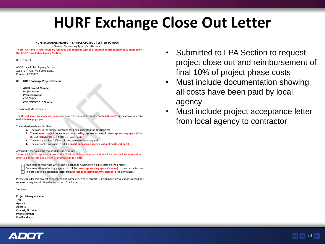#### **HURF Exchange Close Out Letter**

#### **HURF EXCHANGE PROJECT - SAMPLE CLOSEOUT LETTER TO ADOT**

Place on Sponsoring Agency's Letterhead **\*Note: All items in red should be removed and replaced with the required information prior to submission to** 

**the ADOT Local Public Agency Section.** 

(Insert Date)

ADOT Local Public Agency Section 205 S. 17<sup>th</sup> Ave. Mail Drop FM11 Phoenix, AZ 85007

**Re: HURF Exchange Project Closeout**

**ADOT Project Number: Project Name: Project Location: COG/MPO: COG/MPO TIP ID Number:** 

To Whom It May Concern:

The **(Insert sponsoring agency's name)** received the final deliverables on **(Insert date)** for the above referenced HURF Exchange project.

The undersigned certifies that:

- **1.** The work in the subject contract has been inspected for deficiencies;
- **2.** The required project review was conducted by representatives of *(Insert sponsoring agency's nan* **(Insert COG/MPO)** and ADOT on **(Insert date)**;
- **3.** The contractor has fulfilled all contractual obligations; and
- **4.** The contractor was paid in full by **(Insert sponsoring agency's name)** on **(Insert date)**.

#### Attached is the following required documentation:

**\*Note:** All Final Acceptance letters to the ADOT Local Public Agency Section will be returned *without* action unless all items listed below are submitted with this letter.

 $\Box$  An invoice for the final 10% of HURF Exchange funding for eligible costs on the project; Documentation reflecting payment in full by (Insert sponsoring agency's name) to the contractor; and The project final acceptance letter from **(Insert sponsoring agency's name)** to the contractor.

Please consider this project as accepted and complete. Please contact us if you have any questions regarding t request or require additional information. Thank you.

Sincerely,

**Project Manager Name Title Agency Address City, AZ, Zip code Phone Number Email address**

- Submitted to LPA Section to request project close out and reimbursement of final 10% of project phase costs
- Must include documentation showing all costs have been paid by local agency
- Must include project acceptance letter from local agency to contractor

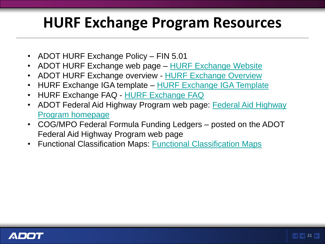## **HURF Exchange Program Resources**

- ADOT HURF Exchange Policy FIN 5.01
- ADOT HURF Exchange web page [HURF Exchange Website](https://www.azdot.gov/about/FinancialManagementServices/transportation-funding/hurf-exchange-program)
- ADOT HURF Exchange overview [HURF Exchange Overview](https://www.azdot.gov/docs/default-source/financial-management-services/hurf-exchange-overview.pdf?sfvrsn=2)
- HURF Exchange IGA template [HURF Exchange IGA Template](https://www.azdot.gov/docs/default-source/financial-management-services/hurf-exchange-iga-template-and-forms0839d578c8006c57b531ff0000a35efc.pdf?sfvrsn=0)
- [HURF Exchange FAQ](https://www.azdot.gov/docs/default-source/financial-management-services/hurf-exchange-faqs.pdf?sfvrsn=2) HURF Exchange FAQ
- ADOT [Federal Aid Highway](Federal Aid Highway Program homepage) Program web page: Federal Aid Highway [Program homepage](Federal Aid Highway Program homepage)
- COG/MPO Federal Formula Funding Ledgers posted on the ADOT Federal Aid Highway Program web page
- <Functional Classification Maps>: Functional Classification Maps

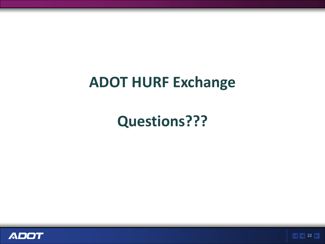#### **ADOT HURF Exchange**

**Questions???**



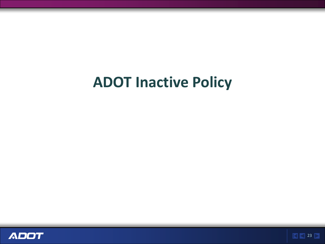### **ADOT Inactive Policy**



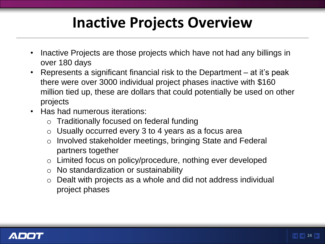# **Inactive Projects Overview**

- Inactive Projects are those projects which have not had any billings in over 180 days
- Represents a significant financial risk to the Department at it's peak there were over 3000 individual project phases inactive with \$160 million tied up, these are dollars that could potentially be used on other projects
- Has had numerous iterations:
	- o Traditionally focused on federal funding
	- $\circ$  Usually occurred every 3 to 4 years as a focus area
	- o Involved stakeholder meetings, bringing State and Federal partners together
	- o Limited focus on policy/procedure, nothing ever developed
	- $\circ$  No standardization or sustainability
	- o Dealt with projects as a whole and did not address individual project phases

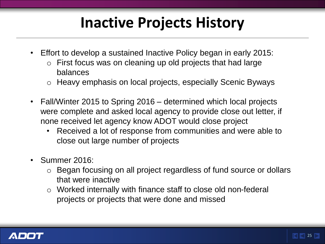# **Inactive Projects History**

- Effort to develop a sustained Inactive Policy began in early 2015:
	- o First focus was on cleaning up old projects that had large balances
	- o Heavy emphasis on local projects, especially Scenic Byways
- Fall/Winter 2015 to Spring 2016 determined which local projects were complete and asked local agency to provide close out letter, if none received let agency know ADOT would close project
	- Received a lot of response from communities and were able to close out large number of projects
- Summer 2016:
	- o Began focusing on all project regardless of fund source or dollars that were inactive
	- o Worked internally with finance staff to close old non-federal projects or projects that were done and missed

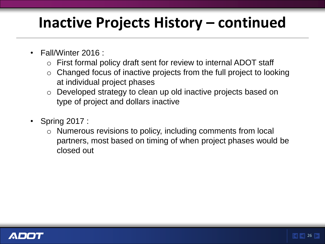# **Inactive Projects History – continued**

- Fall/Winter 2016 :
	- o First formal policy draft sent for review to internal ADOT staff
	- Changed focus of inactive projects from the full project to looking at individual project phases
	- o Developed strategy to clean up old inactive projects based on type of project and dollars inactive
- Spring 2017 :
	- o Numerous revisions to policy, including comments from local partners, most based on timing of when project phases would be closed out

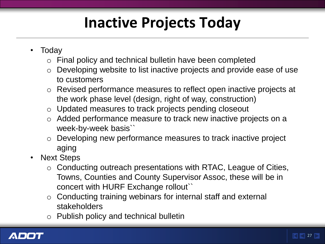# **Inactive Projects Today**

- Today
	- o Final policy and technical bulletin have been completed
	- o Developing website to list inactive projects and provide ease of use to customers
	- o Revised performance measures to reflect open inactive projects at the work phase level (design, right of way, construction)
	- o Updated measures to track projects pending closeout
	- o Added performance measure to track new inactive projects on a week-by-week basis``
	- Developing new performance measures to track inactive project aging
- Next Steps
	- o Conducting outreach presentations with RTAC, League of Cities, Towns, Counties and County Supervisor Assoc, these will be in concert with HURF Exchange rollout``
	- o Conducting training webinars for internal staff and external stakeholders
	- o Publish policy and technical bulletin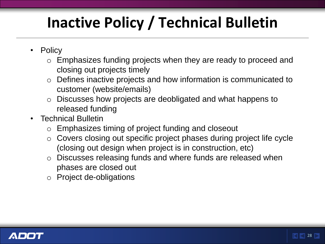# **Inactive Policy / Technical Bulletin**

- Policy
	- o Emphasizes funding projects when they are ready to proceed and closing out projects timely
	- o Defines inactive projects and how information is communicated to customer (website/emails)
	- o Discusses how projects are deobligated and what happens to released funding
- Technical Bulletin
	- o Emphasizes timing of project funding and closeout
	- o Covers closing out specific project phases during project life cycle (closing out design when project is in construction, etc)

 $\overline{|\!\bra{1}}\,\overline{|\!\bra{2}}\,$  28  $\,\overline{|\!\!\!\!\rangle}$ 

- o Discusses releasing funds and where funds are released when phases are closed out
- o Project de-obligations

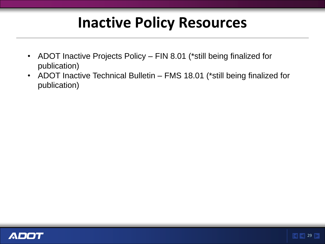## **Inactive Policy Resources**

- ADOT Inactive Projects Policy FIN 8.01 (\*still being finalized for publication)
- ADOT Inactive Technical Bulletin FMS 18.01 (\*still being finalized for publication)